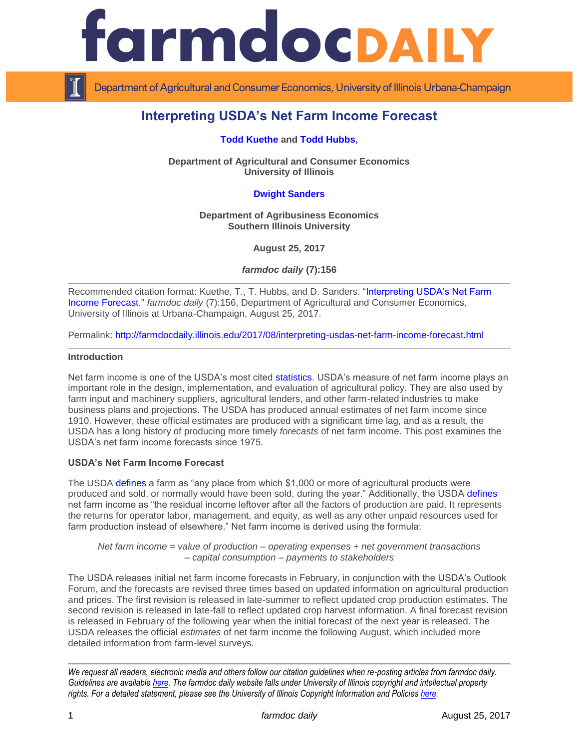



Department of Agricultural and Consumer Economics, University of Illinois Urbana-Champaign

# **Interpreting USDA's Net Farm Income Forecast**

**[Todd Kuethe](http://farmdoc.illinois.edu/kuethe) and [Todd Hubbs,](http://ace.illinois.edu/directory/jhubbs3)** 

**Department of Agricultural and Consumer Economics University of Illinois**

# **[Dwight Sanders](http://coas.siu.edu/people/faculty/agribusiness-economics/sanders.html)**

**Department of Agribusiness Economics Southern Illinois University**

**August 25, 2017**

*farmdoc daily* **(7):156**

Recommended citation format: Kuethe, T., T. Hubbs, and D. Sanders. ["Interpreting USDA's Net Farm](http://farmdocdaily.illinois.edu/2017/08/interpreting-usdas-net-farm-income-forecast.html)  [Income Forecast.](http://farmdocdaily.illinois.edu/2017/08/interpreting-usdas-net-farm-income-forecast.html)" *farmdoc daily* (7):156, Department of Agricultural and Consumer Economics, University of Illinois at Urbana-Champaign, August 25, 2017.

Permalink: <http://farmdocdaily.illinois.edu/2017/08/interpreting-usdas-net-farm-income-forecast.html>

#### **Introduction**

Net farm income is one of the USDA's most cited [statistics.](http://ageconsearch.umn.edu/record/184311/files/tb1924.pdf) USDA's measure of net farm income plays an important role in the design, implementation, and evaluation of agricultural policy. They are also used by farm input and machinery suppliers, agricultural lenders, and other farm-related industries to make business plans and projections. The USDA has produced annual estimates of net farm income since 1910. However, these official estimates are produced with a significant time lag, and as a result, the USDA has a long history of producing more timely *forecasts* of net farm income. This post examines the USDA's net farm income forecasts since 1975.

### **USDA's Net Farm Income Forecast**

The USDA [defines](https://www.ers.usda.gov/topics/farm-economy/farm-household-well-being/glossary/#farm) a farm as "any place from which \$1,000 or more of agricultural products were produced and sold, or normally would have been sold, during the year." Additionally, the USDA [defines](https://www.ers.usda.gov/data-products/farm-income-and-wealth-statistics/documentation-for-the-farm-sector-financial-ratios/#netfarmincom) net farm income as "the residual income leftover after all the factors of production are paid. It represents the returns for operator labor, management, and equity, as well as any other unpaid resources used for farm production instead of elsewhere." Net farm income is derived using the formula:

*Net farm income = value of production – operating expenses + net government transactions – capital consumption – payments to stakeholders*

The USDA releases initial net farm income forecasts in February, in conjunction with the USDA's Outlook Forum, and the forecasts are revised three times based on updated information on agricultural production and prices. The first revision is released in late-summer to reflect updated crop production estimates. The second revision is released in late-fall to reflect updated crop harvest information. A final forecast revision is released in February of the following year when the initial forecast of the next year is released. The USDA releases the official *estimates* of net farm income the following August, which included more detailed information from farm-level surveys.

*We request all readers, electronic media and others follow our citation guidelines when re-posting articles from farmdoc daily. Guidelines are available [here.](http://farmdocdaily.illinois.edu/citationguide.html) The farmdoc daily website falls under University of Illinois copyright and intellectual property rights. For a detailed statement, please see the University of Illinois Copyright Information and Policies [here.](http://www.cio.illinois.edu/policies/copyright/)*